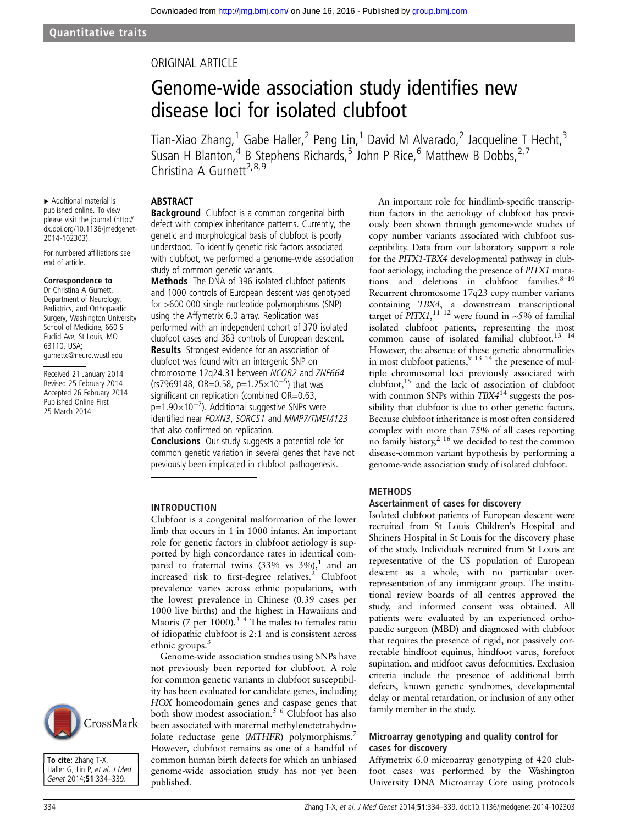# ORIGINAL ARTICLE

# Genome-wide association study identifies new disease loci for isolated clubfoot

Tian-Xiao Zhang,<sup>1</sup> Gabe Haller,<sup>2</sup> Peng Lin,<sup>1</sup> David M Alvarado,<sup>2</sup> Jacqueline T Hecht,<sup>3</sup> Susan H Blanton,<sup>4</sup> B Stephens Richards,<sup>5</sup> John P Rice,<sup>6</sup> Matthew B Dobbs,<sup>2,7</sup> Christina A Gurnett<sup>2,8,9</sup>

# **ABSTRACT**

▸ Additional material is published online. To view please visit the journal ([http://](http://dx.doi.org/10.1136/jmedgenet-2014-102303) [dx.doi.org/10.1136/jmedgenet-](http://dx.doi.org/10.1136/jmedgenet-2014-102303)[2014-102303\)](http://dx.doi.org/10.1136/jmedgenet-2014-102303).

For numbered affiliations see end of article.

#### Correspondence to

Dr Christina A Gurnett, Department of Neurology, Pediatrics, and Orthopaedic Surgery, Washington University School of Medicine, 660 S Euclid Ave, St Louis, MO 63110, USA; gurnettc@neuro.wustl.edu

Received 21 January 2014 Revised 25 February 2014 Accepted 26 February 2014 Published Online First 25 March 2014

**Background** Clubfoot is a common congenital birth defect with complex inheritance patterns. Currently, the genetic and morphological basis of clubfoot is poorly understood. To identify genetic risk factors associated with clubfoot, we performed a genome-wide association study of common genetic variants.

Methods The DNA of 396 isolated clubfoot patients and 1000 controls of European descent was genotyped for >600 000 single nucleotide polymorphisms (SNP) using the Affymetrix 6.0 array. Replication was performed with an independent cohort of 370 isolated clubfoot cases and 363 controls of European descent. Results Strongest evidence for an association of

clubfoot was found with an intergenic SNP on chromosome 12q24.31 between NCOR2 and ZNF664 (rs7969148, OR=0.58, p=1.25×10<sup>-5</sup>) that was significant on replication (combined OR=0.63, p=1.90×10<sup>-7</sup>). Additional suggestive SNPs were

identified near FOXN3, SORCS1 and MMP7/TMEM123 that also confirmed on replication.

**Conclusions** Our study suggests a potential role for common genetic variation in several genes that have not previously been implicated in clubfoot pathogenesis.

#### INTRODUCTION

Clubfoot is a congenital malformation of the lower limb that occurs in 1 in 1000 infants. An important role for genetic factors in clubfoot aetiology is supported by high concordance rates in identical compared to fraternal twins  $(33\% \text{ vs } 3\%),$ <sup>1</sup> and an increased risk to first-degree relatives.<sup>2</sup> Clubfoot prevalence varies across ethnic populations, with the lowest prevalence in Chinese (0.39 cases per 1000 live births) and the highest in Hawaiians and Maoris (7 per 1000). $3 \times 4$  The males to females ratio of idiopathic clubfoot is 2:1 and is consistent across ethnic groups.<sup>3</sup>

Genome-wide association studies using SNPs have not previously been reported for clubfoot. A role for common genetic variants in clubfoot susceptibility has been evaluated for candidate genes, including HOX homeodomain genes and caspase genes that both show modest association.5 6 Clubfoot has also been associated with maternal methylenetetrahydrofolate reductase gene (MTHFR) polymorphisms.<sup>7</sup> However, clubfoot remains as one of a handful of common human birth defects for which an unbiased genome-wide association study has not yet been published.

An important role for hindlimb-specific transcription factors in the aetiology of clubfoot has previously been shown through genome-wide studies of copy number variants associated with clubfoot susceptibility. Data from our laboratory support a role for the PITX1-TBX4 developmental pathway in clubfoot aetiology, including the presence of PITX1 mutations and deletions in clubfoot families. $8-10$ Recurrent chromosome 17q23 copy number variants containing TBX4, a downstream transcriptional target of PITX1,<sup>11 12</sup> were found in ~5% of familial isolated clubfoot patients, representing the most common cause of isolated familial clubfoot.<sup>13</sup> <sup>14</sup> However, the absence of these genetic abnormalities in most clubfoot patients,  $9^{9}$  <sup>13</sup> <sup>14</sup> the presence of multiple chromosomal loci previously associated with clubfoot,<sup>15</sup> and the lack of association of clubfoot with common SNPs within  $TBX4^{14}$  suggests the possibility that clubfoot is due to other genetic factors. Because clubfoot inheritance is most often considered complex with more than 75% of all cases reporting no family history,<sup>2 16</sup> we decided to test the common disease-common variant hypothesis by performing a genome-wide association study of isolated clubfoot.

#### METHODS

#### Ascertainment of cases for discovery

Isolated clubfoot patients of European descent were recruited from St Louis Children's Hospital and Shriners Hospital in St Louis for the discovery phase of the study. Individuals recruited from St Louis are representative of the US population of European descent as a whole, with no particular overrepresentation of any immigrant group. The institutional review boards of all centres approved the study, and informed consent was obtained. All patients were evaluated by an experienced orthopaedic surgeon (MBD) and diagnosed with clubfoot that requires the presence of rigid, not passively correctable hindfoot equinus, hindfoot varus, forefoot supination, and midfoot cavus deformities. Exclusion criteria include the presence of additional birth defects, known genetic syndromes, developmental delay or mental retardation, or inclusion of any other family member in the study.

### Microarray genotyping and quality control for cases for discovery

Affymetrix 6.0 microarray genotyping of 420 clubfoot cases was performed by the Washington University DNA Microarray Core using protocols



To cite: Zhang T-X, Haller G, Lin P, et al. J Med Genet 2014;51:334-339.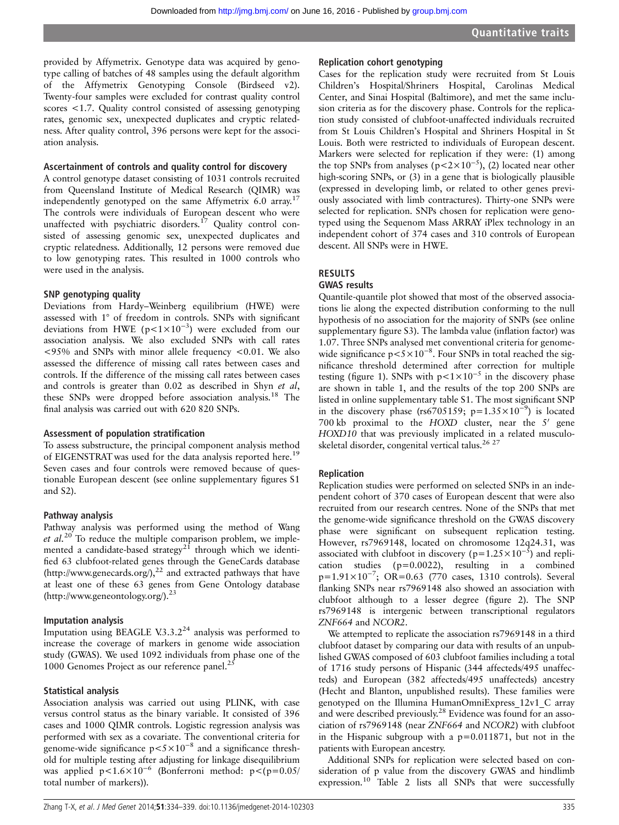provided by Affymetrix. Genotype data was acquired by genotype calling of batches of 48 samples using the default algorithm of the Affymetrix Genotyping Console (Birdseed v2). Twenty-four samples were excluded for contrast quality control scores <1.7. Quality control consisted of assessing genotyping rates, genomic sex, unexpected duplicates and cryptic relatedness. After quality control, 396 persons were kept for the association analysis.

#### Ascertainment of controls and quality control for discovery

A control genotype dataset consisting of 1031 controls recruited from Queensland Institute of Medical Research (QIMR) was independently genotyped on the same Affymetrix  $6.0 \text{ array}$ .<sup>17</sup> The controls were individuals of European descent who were unaffected with psychiatric disorders.<sup>17</sup> Quality control consisted of assessing genomic sex, unexpected duplicates and cryptic relatedness. Additionally, 12 persons were removed due to low genotyping rates. This resulted in 1000 controls who were used in the analysis.

#### SNP genotyping quality

Deviations from Hardy–Weinberg equilibrium (HWE) were assessed with 1° of freedom in controls. SNPs with significant deviations from HWE ( $p$ <1×10<sup>-3</sup>) were excluded from our association analysis. We also excluded SNPs with call rates  $\langle 95\% \rangle$  and SNPs with minor allele frequency  $\langle 0.01 \rangle$ . We also assessed the difference of missing call rates between cases and controls. If the difference of the missing call rates between cases and controls is greater than 0.02 as described in Shyn et al, these SNPs were dropped before association analysis.<sup>18</sup> The final analysis was carried out with 620 820 SNPs.

#### Assessment of population stratification

To assess substructure, the principal component analysis method of EIGENSTRAT was used for the data analysis reported here.<sup>19</sup> Seven cases and four controls were removed because of questionable European descent (see online supplementary figures S1 and S2).

#### Pathway analysis

Pathway analysis was performed using the method of Wang et  $al.^{20}$  To reduce the multiple comparison problem, we implemented a candidate-based strategy<sup>21</sup> through which we identified 63 clubfoot-related genes through the GeneCards database (<http://www.genecards.org/>),<sup>22</sup> and extracted pathways that have at least one of these 63 genes from Gene Ontology database (<http://www.geneontology.org/>).23

#### Imputation analysis

Imputation using BEAGLE V.3.3.2<sup>24</sup> analysis was performed to increase the coverage of markers in genome wide association study (GWAS). We used 1092 individuals from phase one of the 1000 Genomes Project as our reference panel.<sup>2</sup>

### Statistical analysis

Association analysis was carried out using PLINK, with case versus control status as the binary variable. It consisted of 396 cases and 1000 QIMR controls. Logistic regression analysis was performed with sex as a covariate. The conventional criteria for genome-wide significance  $p < 5 \times 10^{-8}$  and a significance threshold for multiple testing after adjusting for linkage disequilibrium was applied  $p<1.6\times10^{-6}$  (Bonferroni method:  $p<(p=0.05/$ total number of markers)).

#### Replication cohort genotyping

Cases for the replication study were recruited from St Louis Children's Hospital/Shriners Hospital, Carolinas Medical Center, and Sinai Hospital (Baltimore), and met the same inclusion criteria as for the discovery phase. Controls for the replication study consisted of clubfoot-unaffected individuals recruited from St Louis Children's Hospital and Shriners Hospital in St Louis. Both were restricted to individuals of European descent. Markers were selected for replication if they were: (1) among the top SNPs from analyses ( $p < 2 \times 10^{-5}$ ), (2) located near other high-scoring SNPs, or (3) in a gene that is biologically plausible (expressed in developing limb, or related to other genes previously associated with limb contractures). Thirty-one SNPs were selected for replication. SNPs chosen for replication were genotyped using the Sequenom Mass ARRAY iPlex technology in an independent cohort of 374 cases and 310 controls of European descent. All SNPs were in HWE.

## RESULTS

#### GWAS results

Quantile-quantile plot showed that most of the observed associations lie along the expected distribution conforming to the null hypothesis of no association for the majority of SNPs (see online supplementary figure S3). The lambda value (inflation factor) was 1.07. Three SNPs analysed met conventional criteria for genomewide significance  $p < 5 \times 10^{-8}$ . Four SNPs in total reached the significance threshold determined after correction for multiple testing (figure 1). SNPs with  $p < 1 \times 10^{-5}$  in the discovery phase are shown in table 1, and the results of the top 200 SNPs are listed in online supplementary table S1. The most significant SNP in the discovery phase (rs6705159; p= $1.35 \times 10^{-9}$ ) is located 700 kb proximal to the HOXD cluster, near the  $5'$  gene HOXD10 that was previously implicated in a related musculoskeletal disorder, congenital vertical talus.<sup>26 27</sup>

### Replication

Replication studies were performed on selected SNPs in an independent cohort of 370 cases of European descent that were also recruited from our research centres. None of the SNPs that met the genome-wide significance threshold on the GWAS discovery phase were significant on subsequent replication testing. However, rs7969148, located on chromosome 12q24.31, was associated with clubfoot in discovery ( $p=1.25\times10^{-5}$ ) and replication studies (p=0.0022), resulting in a combined p=1.91×10<sup>-7</sup>; OR=0.63 (770 cases, 1310 controls). Several flanking SNPs near rs7969148 also showed an association with clubfoot although to a lesser degree (figure 2). The SNP rs7969148 is intergenic between transcriptional regulators ZNF664 and NCOR2.

We attempted to replicate the association rs7969148 in a third clubfoot dataset by comparing our data with results of an unpublished GWAS composed of 603 clubfoot families including a total of 1716 study persons of Hispanic (344 affecteds/495 unaffecteds) and European (382 affecteds/495 unaffecteds) ancestry (Hecht and Blanton, unpublished results). These families were genotyped on the Illumina HumanOmniExpress\_12v1\_C array and were described previously.<sup>28</sup> Evidence was found for an association of rs7969148 (near ZNF664 and NCOR2) with clubfoot in the Hispanic subgroup with a  $p=0.011871$ , but not in the patients with European ancestry.

Additional SNPs for replication were selected based on consideration of p value from the discovery GWAS and hindlimb expression.<sup>10</sup> Table 2 lists all SNPs that were successfully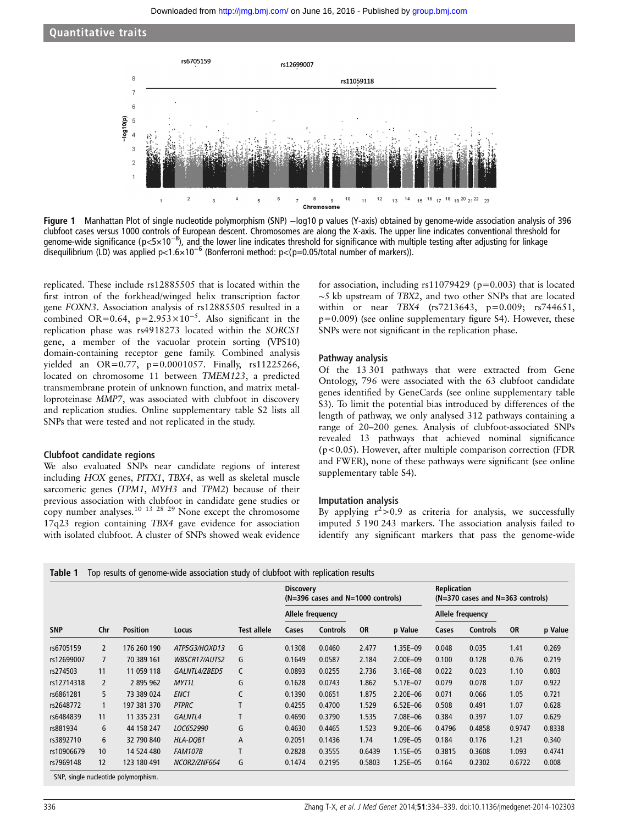Quantitative traits



Figure 1 Manhattan Plot of single nucleotide polymorphism (SNP) −log10 p values (Y-axis) obtained by genome-wide association analysis of 396 clubfoot cases versus 1000 controls of European descent. Chromosomes are along the X-axis. The upper line indicates conventional threshold for genome-wide significance (p<5×10<sup>-8</sup>), and the lower line indicates threshold for significance with multiple testing after adjusting for linkage disequilibrium (LD) was applied p<1.6×10<sup>−6</sup> (Bonferroni method: p<(p=0.05/total number of markers)).

replicated. These include rs12885505 that is located within the first intron of the forkhead/winged helix transcription factor gene FOXN3. Association analysis of rs12885505 resulted in a combined OR=0.64, p=2.953×10<sup>-5</sup>. Also significant in the replication phase was rs4918273 located within the SORCS1 gene, a member of the vacuolar protein sorting (VPS10) domain-containing receptor gene family. Combined analysis yielded an OR=0.77, p=0.0001057. Finally, rs11225266, located on chromosome 11 between TMEM123, a predicted transmembrane protein of unknown function, and matrix metalloproteinase MMP7, was associated with clubfoot in discovery and replication studies. Online supplementary table S2 lists all SNPs that were tested and not replicated in the study.

#### Clubfoot candidate regions

We also evaluated SNPs near candidate regions of interest including HOX genes, PITX1, TBX4, as well as skeletal muscle sarcomeric genes (TPM1, MYH3 and TPM2) because of their previous association with clubfoot in candidate gene studies or copy number analyses.<sup>10</sup> <sup>13</sup> <sup>28</sup> <sup>29</sup> None except the chromosome 17q23 region containing TBX4 gave evidence for association with isolated clubfoot. A cluster of SNPs showed weak evidence

for association, including  $rs11079429$  ( $p=0.003$ ) that is located ∼5 kb upstream of TBX2, and two other SNPs that are located within or near TBX4 (rs7213643, p=0.009; rs744651,  $p=0.009$ ) (see online supplementary figure S4). However, these SNPs were not significant in the replication phase.

#### Pathway analysis

Of the 13 301 pathways that were extracted from Gene Ontology, 796 were associated with the 63 clubfoot candidate genes identified by GeneCards (see online supplementary table S3). To limit the potential bias introduced by differences of the length of pathway, we only analysed 312 pathways containing a range of 20–200 genes. Analysis of clubfoot-associated SNPs revealed 13 pathways that achieved nominal significance (p<0.05). However, after multiple comparison correction (FDR and FWER), none of these pathways were significant (see online supplementary table S4).

#### Imputation analysis

By applying  $r^2 > 0.9$  as criteria for analysis, we successfully imputed 5 190 243 markers. The association analysis failed to identify any significant markers that pass the genome-wide

|            |                |                 |                      |                    | <b>Discovery</b><br>(N=396 cases and N=1000 controls) |                 |           |              | <b>Replication</b><br>(N=370 cases and N=363 controls) |                 |           |         |
|------------|----------------|-----------------|----------------------|--------------------|-------------------------------------------------------|-----------------|-----------|--------------|--------------------------------------------------------|-----------------|-----------|---------|
|            |                |                 |                      |                    | Allele frequency                                      |                 |           |              | Allele frequency                                       |                 |           |         |
| <b>SNP</b> | Chr            | <b>Position</b> | Locus                | <b>Test allele</b> | Cases                                                 | <b>Controls</b> | <b>OR</b> | p Value      | Cases                                                  | <b>Controls</b> | <b>OR</b> | p Value |
| rs6705159  | $\overline{2}$ | 176 260 190     | ATP5G3/HOXD13        | G                  | 0.1308                                                | 0.0460          | 2.477     | 1.35E-09     | 0.048                                                  | 0.035           | 1.41      | 0.269   |
| rs12699007 | $\overline{7}$ | 70 389 161      | <b>WBSCR17/AUTS2</b> | G                  | 0.1649                                                | 0.0587          | 2.184     | $2.00E - 09$ | 0.100                                                  | 0.128           | 0.76      | 0.219   |
| rs274503   | 11             | 11 059 118      | GALNTL4/ZBED5        | C                  | 0.0893                                                | 0.0255          | 2.736     | $3.16E - 08$ | 0.022                                                  | 0.023           | 1.10      | 0.803   |
| rs12714318 | 2              | 2 895 962       | <b>MYT1L</b>         | G                  | 0.1628                                                | 0.0743          | 1.862     | 5.17E-07     | 0.079                                                  | 0.078           | 1.07      | 0.922   |
| rs6861281  | 5              | 73 389 024      | ENC <sub>1</sub>     | C                  | 0.1390                                                | 0.0651          | 1.875     | 2.20E-06     | 0.071                                                  | 0.066           | 1.05      | 0.721   |
| rs2648772  | $\mathbf{1}$   | 197 381 370     | <b>PTPRC</b>         |                    | 0.4255                                                | 0.4700          | 1.529     | $6.52E - 06$ | 0.508                                                  | 0.491           | 1.07      | 0.628   |
| rs6484839  | 11             | 11 335 231      | GALNTL4              | T                  | 0.4690                                                | 0.3790          | 1.535     | 7.08E-06     | 0.384                                                  | 0.397           | 1.07      | 0.629   |
| rs881934   | 6              | 44 158 247      | LOC652990            | G                  | 0.4630                                                | 0.4465          | 1.523     | 9.20E-06     | 0.4796                                                 | 0.4858          | 0.9747    | 0.8338  |
| rs3892710  | 6              | 32 790 840      | HLA-DQB1             | Α                  | 0.2051                                                | 0.1436          | 1.74      | $1.09E - 05$ | 0.184                                                  | 0.176           | 1.21      | 0.340   |
| rs10906679 | 10             | 14 524 480      | <b>FAM107B</b>       |                    | 0.2828                                                | 0.3555          | 0.6439    | $1.15E - 05$ | 0.3815                                                 | 0.3608          | 1.093     | 0.4741  |
| rs7969148  | 12             | 123 180 491     | NCOR2/ZNF664         | G                  | 0.1474                                                | 0.2195          | 0.5803    | 1.25E-05     | 0.164                                                  | 0.2302          | 0.6722    | 0.008   |

SNP, single nucleotide polymorphism.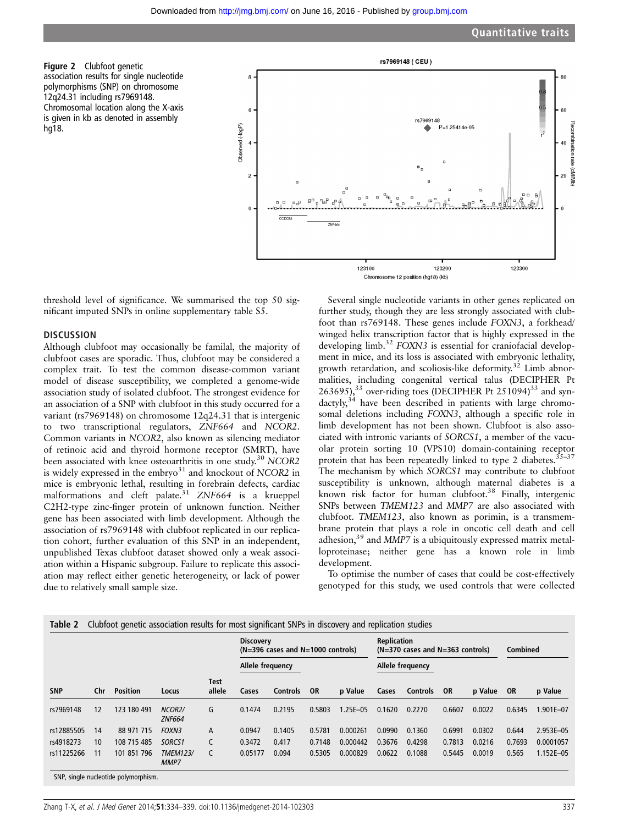Figure 2 Clubfoot genetic association results for single nucleotide polymorphisms (SNP) on chromosome 12q24.31 including rs7969148. Chromosomal location along the X-axis is given in kb as denoted in assembly hg18.



threshold level of significance. We summarised the top 50 significant imputed SNPs in online supplementary table S5.

#### **DISCUSSION**

Although clubfoot may occasionally be familal, the majority of clubfoot cases are sporadic. Thus, clubfoot may be considered a complex trait. To test the common disease-common variant model of disease susceptibility, we completed a genome-wide association study of isolated clubfoot. The strongest evidence for an association of a SNP with clubfoot in this study occurred for a variant (rs7969148) on chromosome 12q24.31 that is intergenic to two transcriptional regulators, ZNF664 and NCOR2. Common variants in NCOR2, also known as silencing mediator of retinoic acid and thyroid hormone receptor (SMRT), have been associated with knee osteoarthritis in one study.<sup>30</sup> NCOR2 is widely expressed in the embryo $31$  and knockout of NCOR2 in mice is embryonic lethal, resulting in forebrain defects, cardiac malformations and cleft palate.<sup>31</sup> ZNF664 is a krueppel C2H2-type zinc-finger protein of unknown function. Neither gene has been associated with limb development. Although the association of rs7969148 with clubfoot replicated in our replication cohort, further evaluation of this SNP in an independent, unpublished Texas clubfoot dataset showed only a weak association within a Hispanic subgroup. Failure to replicate this association may reflect either genetic heterogeneity, or lack of power due to relatively small sample size.

Several single nucleotide variants in other genes replicated on further study, though they are less strongly associated with clubfoot than rs769148. These genes include FOXN3, a forkhead/ winged helix transcription factor that is highly expressed in the developing limb.<sup>32</sup> FOXN3 is essential for craniofacial development in mice, and its loss is associated with embryonic lethality, growth retardation, and scoliosis-like deformity.<sup>32</sup> Limb abnormalities, including congenital vertical talus (DECIPHER Pt 263695), $33$  over-riding toes (DECIPHER Pt 251094) $33$  and syn $d$ actyly,<sup>34</sup> have been described in patients with large chromosomal deletions including FOXN3, although a specific role in limb development has not been shown. Clubfoot is also associated with intronic variants of SORCS1, a member of the vacuolar protein sorting 10 (VPS10) domain-containing receptor protein that has been repeatedly linked to type 2 diabetes. $35-37$ The mechanism by which SORCS1 may contribute to clubfoot susceptibility is unknown, although maternal diabetes is a known risk factor for human clubfoot.<sup>38</sup> Finally, intergenic SNPs between TMEM123 and MMP7 are also associated with clubfoot. TMEM123, also known as porimin, is a transmembrane protein that plays a role in oncotic cell death and cell adhesion,<sup>39</sup> and MMP7 is a ubiquitously expressed matrix metalloproteinase; neither gene has a known role in limb development.

To optimise the number of cases that could be cost-effectively genotyped for this study, we used controls that were collected

| Table 2    |     |                 |                                      |                       |                  | Clubfoot genetic association results for most significant SNPs in discovery and replication studies<br><b>Replication</b><br><b>Discovery</b><br>$(N=396 \text{ cases}$ and $N=1000 \text{ controls}$<br>$(N=370 \text{ cases and } N=363 \text{ controls})$ |        |              |        |                  |        | <b>Combined</b> |        |               |
|------------|-----|-----------------|--------------------------------------|-----------------------|------------------|--------------------------------------------------------------------------------------------------------------------------------------------------------------------------------------------------------------------------------------------------------------|--------|--------------|--------|------------------|--------|-----------------|--------|---------------|
|            |     |                 |                                      |                       | Allele frequency |                                                                                                                                                                                                                                                              |        |              |        | Allele frequency |        |                 |        |               |
| <b>SNP</b> | Chr | <b>Position</b> | Locus                                | <b>Test</b><br>allele | Cases            | Controls                                                                                                                                                                                                                                                     | OR     | p Value      | Cases  | <b>Controls</b>  | OR     | p Value         | - OR   | p Value       |
| rs7969148  | 12  | 123 180 491     | NCOR <sub>2</sub> /<br><b>ZNF664</b> | G                     | 0.1474           | 0.2195                                                                                                                                                                                                                                                       | 0.5803 | $1.25E - 05$ | 0.1620 | 0.2270           | 0.6607 | 0.0022          | 0.6345 | $1.901E - 07$ |
| rs12885505 | 14  | 88 971 715      | <b>FOXN3</b>                         | A                     | 0.0947           | 0.1405                                                                                                                                                                                                                                                       | 0.5781 | 0.000261     | 0.0990 | 0.1360           | 0.6991 | 0.0302          | 0.644  | 2.953E-05     |
| rs4918273  | 10  | 108 715 485     | SORCS1                               | C                     | 0.3472           | 0.417                                                                                                                                                                                                                                                        | 0.7148 | 0.000442     | 0.3676 | 0.4298           | 0.7813 | 0.0216          | 0.7693 | 0.0001057     |
| rs11225266 | 11  | 101 851 796     | <b>TMEM123/</b><br>MMP7              |                       | 0.05177          | 0.094                                                                                                                                                                                                                                                        | 0.5305 | 0.000829     | 0.0622 | 0.1088           | 0.5445 | 0.0019          | 0.565  | $1.152E - 05$ |

SNP, single nucleotide polymorphism.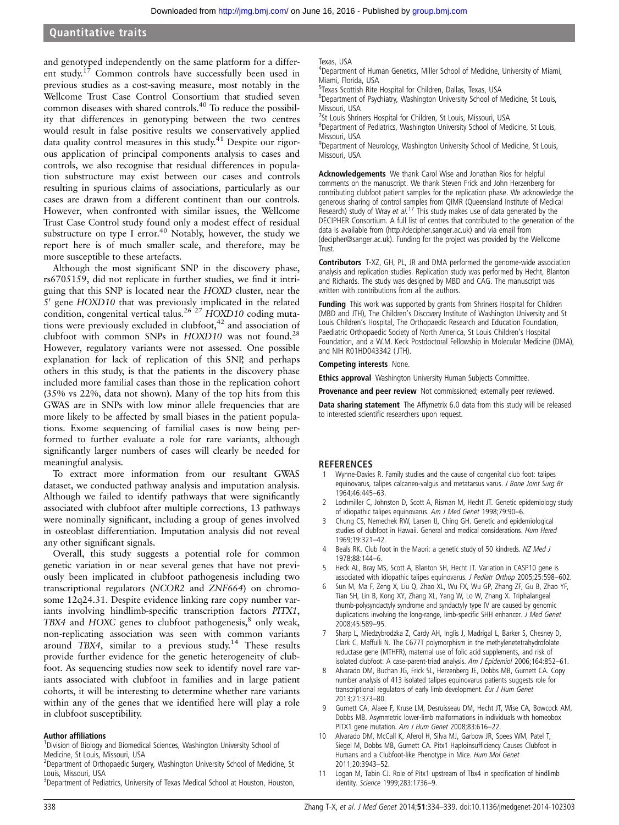### Quantitative traits

and genotyped independently on the same platform for a different study.<sup>17</sup> Common controls have successfully been used in previous studies as a cost-saving measure, most notably in the Wellcome Trust Case Control Consortium that studied seven common diseases with shared controls.40 To reduce the possibility that differences in genotyping between the two centres would result in false positive results we conservatively applied data quality control measures in this study.<sup>41</sup> Despite our rigorous application of principal components analysis to cases and controls, we also recognise that residual differences in population substructure may exist between our cases and controls resulting in spurious claims of associations, particularly as our cases are drawn from a different continent than our controls. However, when confronted with similar issues, the Wellcome Trust Case Control study found only a modest effect of residual substructure on type I error.<sup>40</sup> Notably, however, the study we report here is of much smaller scale, and therefore, may be more susceptible to these artefacts.

Although the most significant SNP in the discovery phase, rs6705159, did not replicate in further studies, we find it intriguing that this SNP is located near the HOXD cluster, near the  $5'$  gene HOXD10 that was previously implicated in the related condition, congenital vertical talus.<sup>26</sup><sup>27</sup> HOXD10 coding mutations were previously excluded in clubfoot,<sup>42</sup> and association of clubfoot with common SNPs in  $HOXD10$  was not found.<sup>28</sup> However, regulatory variants were not assessed. One possible explanation for lack of replication of this SNP, and perhaps others in this study, is that the patients in the discovery phase included more familial cases than those in the replication cohort (35% vs 22%, data not shown). Many of the top hits from this GWAS are in SNPs with low minor allele frequencies that are more likely to be affected by small biases in the patient populations. Exome sequencing of familial cases is now being performed to further evaluate a role for rare variants, although significantly larger numbers of cases will clearly be needed for meaningful analysis.

To extract more information from our resultant GWAS dataset, we conducted pathway analysis and imputation analysis. Although we failed to identify pathways that were significantly associated with clubfoot after multiple corrections, 13 pathways were nominally significant, including a group of genes involved in osteoblast differentiation. Imputation analysis did not reveal any other significant signals.

Overall, this study suggests a potential role for common genetic variation in or near several genes that have not previously been implicated in clubfoot pathogenesis including two transcriptional regulators (NCOR2 and ZNF664) on chromosome 12q24.31. Despite evidence linking rare copy number variants involving hindlimb-specific transcription factors PITX1, TBX4 and HOXC genes to clubfoot pathogenesis, $\delta$  only weak, non-replicating association was seen with common variants around TBX4, similar to a previous study.<sup>14</sup> These results provide further evidence for the genetic heterogeneity of clubfoot. As sequencing studies now seek to identify novel rare variants associated with clubfoot in families and in large patient cohorts, it will be interesting to determine whether rare variants within any of the genes that we identified here will play a role in clubfoot susceptibility.

#### Author affiliations <sup>1</sup>

<sup>1</sup> Division of Biology and Biomedical Sciences, Washington University School of Medicine, St Louis, Missouri, USA

<sup>2</sup> Department of Orthopaedic Surgery, Washington University School of Medicine, St Louis, Missouri, USA

<sup>3</sup>Department of Pediatrics, University of Texas Medical School at Houston, Houston,

Texas, USA

<sup>4</sup>Department of Human Genetics, Miller School of Medicine, University of Miami, Miami, Florida, USA

5 Texas Scottish Rite Hospital for Children, Dallas, Texas, USA

<sup>6</sup>Department of Psychiatry, Washington University School of Medicine, St Louis, Missouri, USA

<sup>7</sup>St Louis Shriners Hospital for Children, St Louis, Missouri, USA

<sup>8</sup>Department of Pediatrics, Washington University School of Medicine, St Louis, Missouri, USA

<sup>9</sup>Department of Neurology, Washington University School of Medicine, St Louis, Missouri, USA

Acknowledgements We thank Carol Wise and Jonathan Rios for helpful comments on the manuscript. We thank Steven Frick and John Herzenberg for contributing clubfoot patient samples for the replication phase. We acknowledge the generous sharing of control samples from QIMR (Queensland Institute of Medical<br>Research) study of Wray *et al.* <sup>17</sup> This study makes use of data generated by the DECIPHER Consortium. A full list of centres that contributed to the generation of the data is available from [\(http://decipher.sanger.ac.uk](http://decipher.sanger.ac.uk)) and via email from (decipher@sanger.ac.uk). Funding for the project was provided by the Wellcome Trust.

Contributors T-XZ, GH, PL, JR and DMA performed the genome-wide association analysis and replication studies. Replication study was performed by Hecht, Blanton and Richards. The study was designed by MBD and CAG. The manuscript was written with contributions from all the authors.

Funding This work was supported by grants from Shriners Hospital for Children (MBD and JTH), The Children's Discovery Institute of Washington University and St Louis Children's Hospital, The Orthopaedic Research and Education Foundation, Paediatric Orthopaedic Society of North America, St Louis Children's Hospital Foundation, and a W.M. Keck Postdoctoral Fellowship in Molecular Medicine (DMA), and NIH R01HD043342 ( JTH).

#### Competing interests None.

Ethics approval Washington University Human Subjects Committee.

Provenance and peer review Not commissioned; externally peer reviewed.

Data sharing statement The Affymetrix 6.0 data from this study will be released to interested scientific researchers upon request.

#### **REFERENCES**

- 1 Wynne-Davies R. Family studies and the cause of congenital club foot: talipes equinovarus, talipes calcaneo-valgus and metatarsus varus. J Bone Joint Surg Br 1964;46:445–63.
- 2 Lochmiller C, Johnston D, Scott A, Risman M, Hecht JT. Genetic epidemiology study of idiopathic talipes equinovarus. Am J Med Genet 1998;79:90–6.
- 3 Chung CS, Nemechek RW, Larsen IJ, Ching GH. Genetic and epidemiological studies of clubfoot in Hawaii. General and medical considerations. Hum Hered 1969;19:321–42.
- 4 Beals RK. Club foot in the Maori: a genetic study of 50 kindreds. NZ Med J 1978;88:144–6.
- 5 Heck AL, Bray MS, Scott A, Blanton SH, Hecht JT. Variation in CASP10 gene is associated with idiopathic talipes equinovarus. J Pediatr Orthop 2005;25:598-602.
- Sun M, Ma F, Zeng X, Liu Q, Zhao XL, Wu FX, Wu GP, Zhang ZF, Gu B, Zhao YF, Tian SH, Lin B, Kong XY, Zhang XL, Yang W, Lo W, Zhang X. Triphalangeal thumb-polysyndactyly syndrome and syndactyly type IV are caused by genomic duplications involving the long-range, limb-specific SHH enhancer. J Med Genet 2008;45:589–95.
- 7 Sharp L, Miedzybrodzka Z, Cardy AH, Inglis J, Madrigal L, Barker S, Chesney D, Clark C, Maffulli N. The C677T polymorphism in the methylenetetrahydrofolate reductase gene (MTHFR), maternal use of folic acid supplements, and risk of isolated clubfoot: A case-parent-triad analysis. Am J Epidemiol 2006;164:852-61.
- 8 Alvarado DM, Buchan JG, Frick SL, Herzenberg JE, Dobbs MB, Gurnett CA. Copy number analysis of 413 isolated talipes equinovarus patients suggests role for transcriptional regulators of early limb development. Eur J Hum Genet 2013;21:373–80.
- 9 Gurnett CA, Alaee F, Kruse LM, Desruisseau DM, Hecht JT, Wise CA, Bowcock AM, Dobbs MB. Asymmetric lower-limb malformations in individuals with homeobox PITX1 gene mutation. Am J Hum Genet 2008;83:616–22.
- 10 Alvarado DM, McCall K, Aferol H, Silva MJ, Garbow JR, Spees WM, Patel T, Siegel M, Dobbs MB, Gurnett CA. Pitx1 Haploinsufficiency Causes Clubfoot in Humans and a Clubfoot-like Phenotype in Mice. Hum Mol Genet 2011;20:3943–52.
- 11 Logan M, Tabin CJ. Role of Pitx1 upstream of Tbx4 in specification of hindlimb identity. Science 1999;283:1736–9.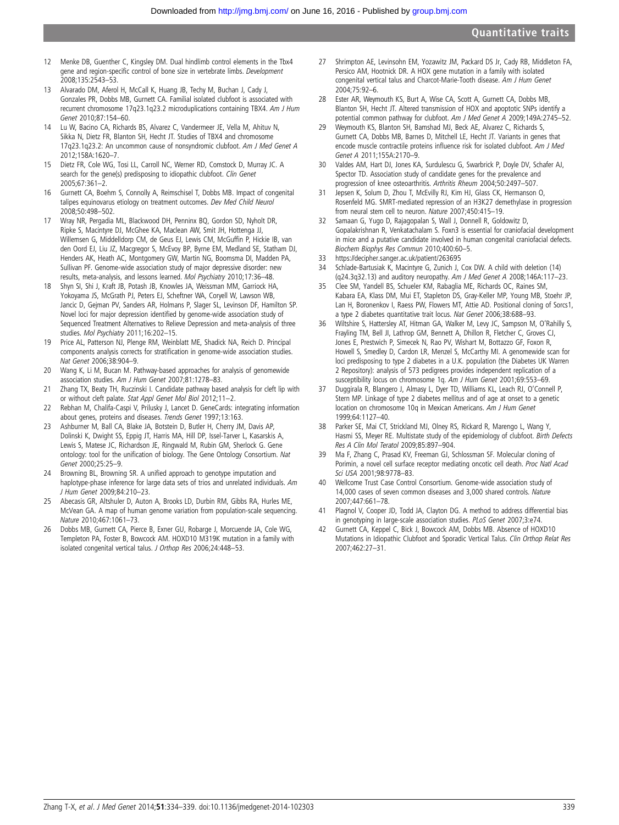- 12 Menke DB, Guenther C, Kingsley DM. Dual hindlimb control elements in the Tbx4 gene and region-specific control of bone size in vertebrate limbs. Development 2008;135:2543–53.
- 13 Alvarado DM, Aferol H, McCall K, Huang JB, Techy M, Buchan J, Cady J, Gonzales PR, Dobbs MB, Gurnett CA. Familial isolated clubfoot is associated with recurrent chromosome 17q23.1q23.2 microduplications containing TBX4. Am J Hum Genet 2010;87:154–60.
- 14 Lu W, Bacino CA, Richards BS, Alvarez C, Vandermeer JE, Vella M, Ahituv N, Sikka N, Dietz FR, Blanton SH, Hecht JT. Studies of TBX4 and chromosome 17q23.1q23.2: An uncommon cause of nonsyndromic clubfoot. Am J Med Genet A 2012;158A:1620–7.
- 15 Dietz FR, Cole WG, Tosi LL, Carroll NC, Werner RD, Comstock D, Murray JC. A search for the gene(s) predisposing to idiopathic clubfoot. Clin Genet 2005;67:361–2.
- 16 Gurnett CA, Boehm S, Connolly A, Reimschisel T, Dobbs MB. Impact of congenital talipes equinovarus etiology on treatment outcomes. Dev Med Child Neurol 2008;50:498–502.
- 17 Wray NR, Pergadia ML, Blackwood DH, Penninx BQ, Gordon SD, Nyholt DR, Ripke S, Macintyre DJ, McGhee KA, Maclean AW, Smit JH, Hottenga JJ, Willemsen G, Middelldorp CM, de Geus EJ, Lewis CM, McGuffin P, Hickie IB, van den Oord EJ, Liu JZ, Macgregor S, McEvoy BP, Byrne EM, Medland SE, Statham DJ, Henders AK, Heath AC, Montgomery GW, Martin NG, Boomsma DI, Madden PA, Sullivan PF. Genome-wide association study of major depressive disorder: new results, meta-analysis, and lessons learned. Mol Psychiatry 2010;17:36–48.
- 18 Shyn SI, Shi J, Kraft JB, Potash JB, Knowles JA, Weissman MM, Garriock HA, Yokoyama JS, McGrath PJ, Peters EJ, Scheftner WA, Coryell W, Lawson WB, Jancic D, Gejman PV, Sanders AR, Holmans P, Slager SL, Levinson DF, Hamilton SP. Novel loci for major depression identified by genome-wide association study of Sequenced Treatment Alternatives to Relieve Depression and meta-analysis of three studies. Mol Psychiatry 2011;16:202–15.
- 19 Price AL, Patterson NJ, Plenge RM, Weinblatt ME, Shadick NA, Reich D. Principal components analysis corrects for stratification in genome-wide association studies. Nat Genet 2006;38:904–9.
- 20 Wang K, Li M, Bucan M. Pathway-based approaches for analysis of genomewide association studies. Am J Hum Genet 2007;81:1278–83.
- 21 Zhang TX, Beaty TH, Ruczinski I. Candidate pathway based analysis for cleft lip with or without cleft palate. Stat Appl Genet Mol Biol 2012;11–2.
- 22 Rebhan M, Chalifa-Caspi V, Prilusky J, Lancet D. GeneCards: integrating information about genes, proteins and diseases. Trends Genet 1997;13:163.
- 23 Ashburner M, Ball CA, Blake JA, Botstein D, Butler H, Cherry JM, Davis AP, Dolinski K, Dwight SS, Eppig JT, Harris MA, Hill DP, Issel-Tarver L, Kasarskis A, Lewis S, Matese JC, Richardson JE, Ringwald M, Rubin GM, Sherlock G. Gene ontology: tool for the unification of biology. The Gene Ontology Consortium. Nat Genet 2000;25:25–9.
- 24 Browning BL, Browning SR. A unified approach to genotype imputation and haplotype-phase inference for large data sets of trios and unrelated individuals. Am J Hum Genet 2009;84:210–23.
- 25 Abecasis GR, Altshuler D, Auton A, Brooks LD, Durbin RM, Gibbs RA, Hurles ME, McVean GA. A map of human genome variation from population-scale sequencing. Nature 2010;467:1061–73.
- 26 Dobbs MB, Gurnett CA, Pierce B, Exner GU, Robarge J, Morcuende JA, Cole WG, Templeton PA, Foster B, Bowcock AM. HOXD10 M319K mutation in a family with isolated congenital vertical talus. J Orthop Res 2006;24:448–53.
- 27 Shrimpton AE, Levinsohn EM, Yozawitz JM, Packard DS Jr, Cady RB, Middleton FA, Persico AM, Hootnick DR. A HOX gene mutation in a family with isolated congenital vertical talus and Charcot-Marie-Tooth disease. Am J Hum Genet 2004;75:92–6.
- 28 Ester AR, Weymouth KS, Burt A, Wise CA, Scott A, Gurnett CA, Dobbs MB, Blanton SH, Hecht JT. Altered transmission of HOX and apoptotic SNPs identify a potential common pathway for clubfoot. Am J Med Genet A 2009;149A:2745–52.
- 29 Weymouth KS, Blanton SH, Bamshad MJ, Beck AE, Alvarez C, Richards S, Gurnett CA, Dobbs MB, Barnes D, Mitchell LE, Hecht JT. Variants in genes that encode muscle contractile proteins influence risk for isolated clubfoot. Am J Med Genet A 2011;155A:2170–9.
- 30 Valdes AM, Hart DJ, Jones KA, Surdulescu G, Swarbrick P, Doyle DV, Schafer AJ, Spector TD. Association study of candidate genes for the prevalence and progression of knee osteoarthritis. Arthritis Rheum 2004;50:2497–507.
- 31 Jepsen K, Solum D, Zhou T, McEvilly RJ, Kim HJ, Glass CK, Hermanson O, Rosenfeld MG. SMRT-mediated repression of an H3K27 demethylase in progression from neural stem cell to neuron. Nature 2007;450:415–19.
- 32 Samaan G, Yugo D, Rajagopalan S, Wall J, Donnell R, Goldowitz D, Gopalakrishnan R, Venkatachalam S. Foxn3 is essential for craniofacial development in mice and a putative candidate involved in human congenital craniofacial defects. Biochem Biophys Res Commun 2010;400:60–5.
- 33<https://decipher.sanger.ac.uk/patient/263695>
- 34 Schlade-Bartusiak K, Macintyre G, Zunich J, Cox DW. A child with deletion (14) (q24.3q32.13) and auditory neuropathy. Am J Med Genet A 2008;146A:117–23.
- 35 Clee SM, Yandell BS, Schueler KM, Rabaglia ME, Richards OC, Raines SM, Kabara EA, Klass DM, Mui ET, Stapleton DS, Gray-Keller MP, Young MB, Stoehr JP, Lan H, Boronenkov I, Raess PW, Flowers MT, Attie AD. Positional cloning of Sorcs1, a type 2 diabetes quantitative trait locus. Nat Genet 2006;38:688–93.
- 36 Wiltshire S, Hattersley AT, Hitman GA, Walker M, Levy JC, Sampson M, O'Rahilly S, Frayling TM, Bell JI, Lathrop GM, Bennett A, Dhillon R, Fletcher C, Groves CJ, Jones E, Prestwich P, Simecek N, Rao PV, Wishart M, Bottazzo GF, Foxon R, Howell S, Smedley D, Cardon LR, Menzel S, McCarthy MI. A genomewide scan for loci predisposing to type 2 diabetes in a U.K. population (the Diabetes UK Warren 2 Repository): analysis of 573 pedigrees provides independent replication of a susceptibility locus on chromosome 1q. Am J Hum Genet 2001;69:553–69.
- 37 Duggirala R, Blangero J, Almasy L, Dyer TD, Williams KL, Leach RJ, O'Connell P, Stern MP. Linkage of type 2 diabetes mellitus and of age at onset to a genetic location on chromosome 10q in Mexican Americans. Am J Hum Genet 1999;64:1127–40.
- 38 Parker SE, Mai CT, Strickland MJ, Olney RS, Rickard R, Marengo L, Wang Y, Hasmi SS, Meyer RE. Multistate study of the epidemiology of clubfoot. Birth Defects Res A Clin Mol Teratol 2009;85:897–904.
- 39 Ma F, Zhang C, Prasad KV, Freeman GJ, Schlossman SF. Molecular cloning of Porimin, a novel cell surface receptor mediating oncotic cell death. Proc Natl Acad Sci USA 2001;98:9778–83.
- 40 Wellcome Trust Case Control Consortium. Genome-wide association study of 14,000 cases of seven common diseases and 3,000 shared controls. Nature 2007;447:661–78.
- Plagnol V, Cooper JD, Todd JA, Clayton DG. A method to address differential bias in genotyping in large-scale association studies. PLoS Genet 2007;3:e74.
- 42 Gurnett CA, Keppel C, Bick J, Bowcock AM, Dobbs MB. Absence of HOXD10 Mutations in Idiopathic Clubfoot and Sporadic Vertical Talus. Clin Orthop Relat Res 2007;462:27–31.